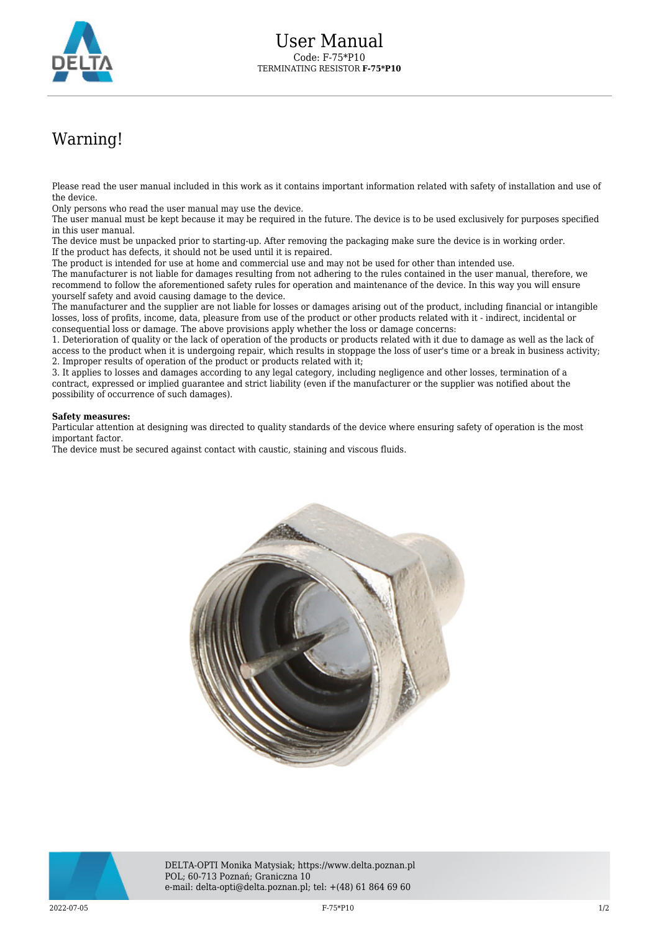

## Warning!

Please read the user manual included in this work as it contains important information related with safety of installation and use of the device.

Only persons who read the user manual may use the device.

The user manual must be kept because it may be required in the future. The device is to be used exclusively for purposes specified in this user manual.

The device must be unpacked prior to starting-up. After removing the packaging make sure the device is in working order. If the product has defects, it should not be used until it is repaired.

The product is intended for use at home and commercial use and may not be used for other than intended use.

The manufacturer is not liable for damages resulting from not adhering to the rules contained in the user manual, therefore, we recommend to follow the aforementioned safety rules for operation and maintenance of the device. In this way you will ensure yourself safety and avoid causing damage to the device.

The manufacturer and the supplier are not liable for losses or damages arising out of the product, including financial or intangible losses, loss of profits, income, data, pleasure from use of the product or other products related with it - indirect, incidental or consequential loss or damage. The above provisions apply whether the loss or damage concerns:

1. Deterioration of quality or the lack of operation of the products or products related with it due to damage as well as the lack of access to the product when it is undergoing repair, which results in stoppage the loss of user's time or a break in business activity; 2. Improper results of operation of the product or products related with it;

3. It applies to losses and damages according to any legal category, including negligence and other losses, termination of a contract, expressed or implied guarantee and strict liability (even if the manufacturer or the supplier was notified about the possibility of occurrence of such damages).

## **Safety measures:**

Particular attention at designing was directed to quality standards of the device where ensuring safety of operation is the most important factor.

The device must be secured against contact with caustic, staining and viscous fluids.





DELTA-OPTI Monika Matysiak; https://www.delta.poznan.pl POL; 60-713 Poznań; Graniczna 10 e-mail: delta-opti@delta.poznan.pl; tel: +(48) 61 864 69 60